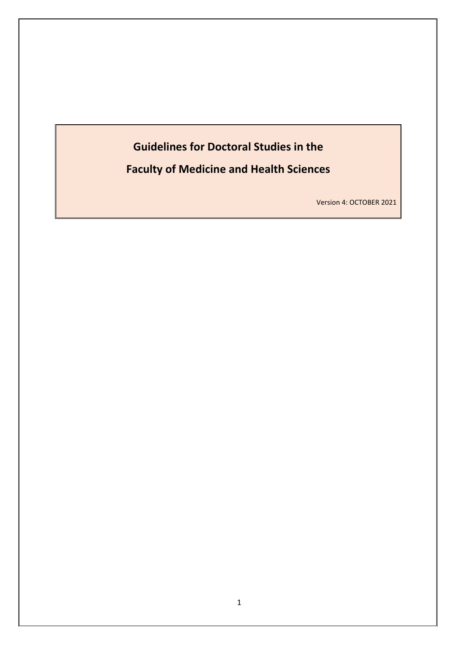# **Guidelines for Doctoral Studies in the**

**Faculty of Medicine and Health Sciences**

Version 4: OCTOBER 2021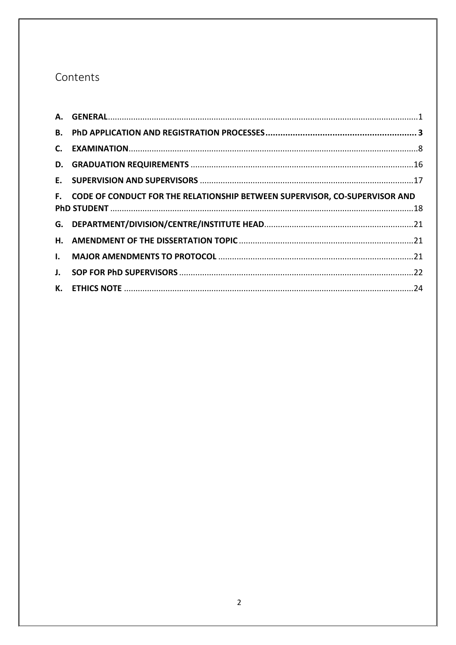## Contents

| F. CODE OF CONDUCT FOR THE RELATIONSHIP BETWEEN SUPERVISOR, CO-SUPERVISOR AND |  |
|-------------------------------------------------------------------------------|--|
|                                                                               |  |
|                                                                               |  |
|                                                                               |  |
|                                                                               |  |
|                                                                               |  |
|                                                                               |  |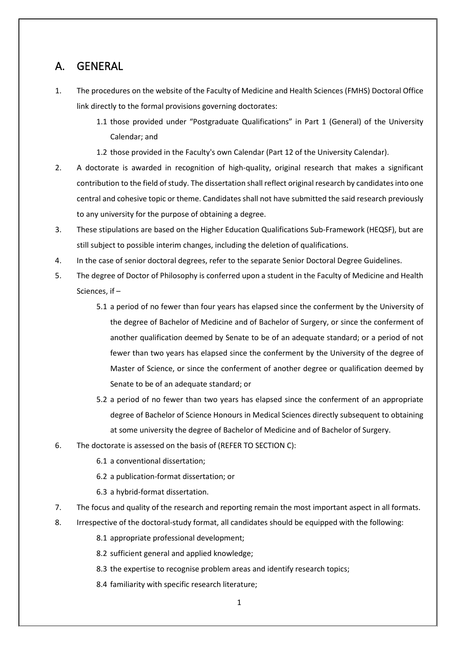### <span id="page-2-0"></span>A. GENERAL

- 1. The procedures on the website of the Faculty of Medicine and Health Sciences (FMHS) Doctoral Office link directly to the formal provisions governing doctorates:
	- 1.1 those provided under "Postgraduate Qualifications" in Part 1 (General) of the University Calendar; and
	- 1.2 those provided in the Faculty's own Calendar (Part 12 of the University Calendar).
- 2. A doctorate is awarded in recognition of high-quality, original research that makes a significant contribution to the field of study. The dissertation shall reflect original research by candidates into one central and cohesive topic or theme. Candidates shall not have submitted the said research previously to any university for the purpose of obtaining a degree.
- 3. These stipulations are based on the Higher Education Qualifications Sub-Framework (HEQSF), but are still subject to possible interim changes, including the deletion of qualifications.
- 4. In the case of senior doctoral degrees, refer to the separate Senior Doctoral Degree Guidelines.
- 5. The degree of Doctor of Philosophy is conferred upon a student in the Faculty of Medicine and Health Sciences, if –
	- 5.1 a period of no fewer than four years has elapsed since the conferment by the University of the degree of Bachelor of Medicine and of Bachelor of Surgery, or since the conferment of another qualification deemed by Senate to be of an adequate standard; or a period of not fewer than two years has elapsed since the conferment by the University of the degree of Master of Science, or since the conferment of another degree or qualification deemed by Senate to be of an adequate standard; or
	- 5.2 a period of no fewer than two years has elapsed since the conferment of an appropriate degree of Bachelor of Science Honours in Medical Sciences directly subsequent to obtaining at some university the degree of Bachelor of Medicine and of Bachelor of Surgery.
- 6. The doctorate is assessed on the basis of (REFER TO SECTION C):
	- 6.1 a conventional dissertation;
	- 6.2 a publication-format dissertation; or
	- 6.3 a hybrid-format dissertation.
- 7. The focus and quality of the research and reporting remain the most important aspect in all formats.
- 8. Irrespective of the doctoral-study format, all candidates should be equipped with the following:
	- 8.1 appropriate professional development;
	- 8.2 sufficient general and applied knowledge;
	- 8.3 the expertise to recognise problem areas and identify research topics;
	- 8.4 familiarity with specific research literature;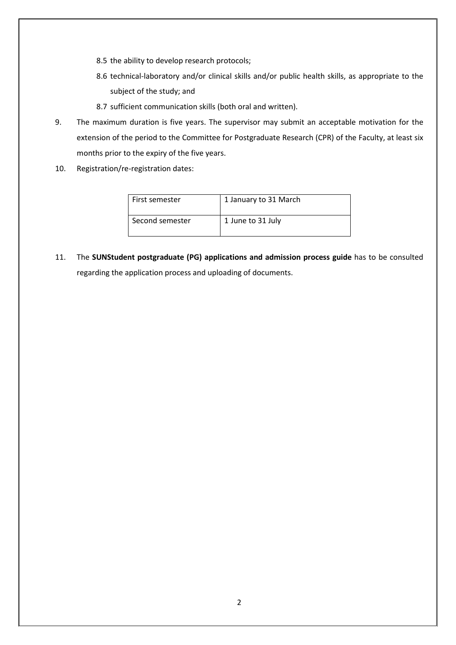- 8.5 the ability to develop research protocols;
- 8.6 technical-laboratory and/or clinical skills and/or public health skills, as appropriate to the subject of the study; and
- 8.7 sufficient communication skills (both oral and written).
- 9. The maximum duration is five years. The supervisor may submit an acceptable motivation for the extension of the period to the Committee for Postgraduate Research (CPR) of the Faculty, at least six months prior to the expiry of the five years.
- 10. Registration/re-registration dates:

| First semester  | 1 January to 31 March |
|-----------------|-----------------------|
| Second semester | 1 June to 31 July     |

11. The **SUNStudent postgraduate (PG) applications and admission process guide** has to be consulted regarding the application process and uploading of documents.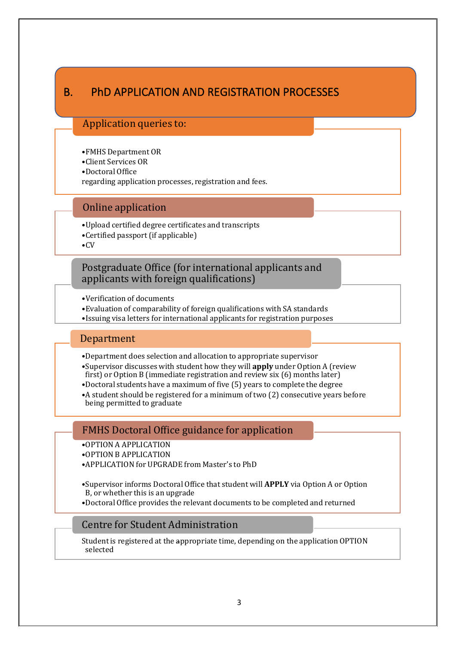### B. PhD APPLICATION AND REGISTRATION PROCESSES

### Application queries to:

- •FMHS Department OR
- •Client Services OR
- •Doctoral Office

regarding application processes, registration and fees.

### Online application

- •Upload certified degree certificates and transcripts
- •Certified passport (if applicable)

•CV

Postgraduate Office (for international applicants and applicants with foreign qualifications)

- •Verification of documents
- •Evaluation of comparability of foreign qualifications with SA standards
- •Issuing visa letters for international applicants for registration purposes

### Department

- •Department does selection and allocation to appropriate supervisor
- •Supervisor discusses with student how they will **apply** under Option A (review first) or Option B (immediate registration and review six (6) months later)
- •Doctoral students have a maximum of five (5) years to complete the degree
- •A student should be registered for a minimum of two (2) consecutive years before being permitted to graduate

### FMHS Doctoral Office guidance for application

- •OPTION A APPLICATION
- •OPTION B APPLICATION
- •APPLICATION for UPGRADE from Master's to PhD
- •Supervisor informs Doctoral Office that student will **APPLY** via Option A or Option B, or whether this is an upgrade
- •Doctoral Office provides the relevant documents to be completed and returned

### Centre for Student Administration

Student is registered at the appropriate time, depending on the application OPTION selected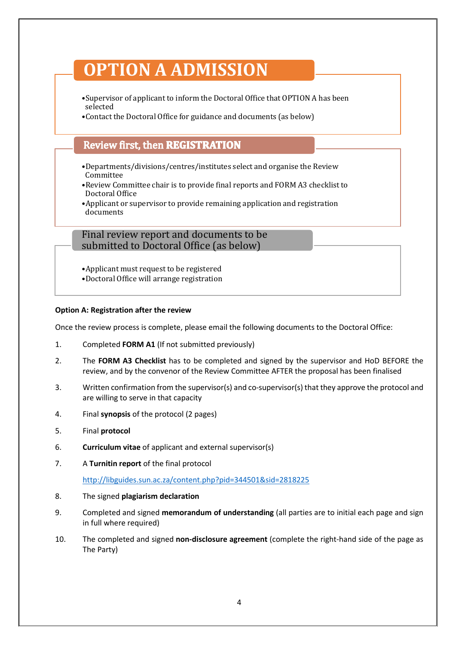# **OPTION A ADMISSION**

- •Supervisor of applicant to inform the Doctoral Office that OPTION A has been selected
- •Contact the Doctoral Office for guidance and documents (as below)

### **Review first, then REGISTRATION**

- •Departments/divisions/centres/institutes select and organise the Review Committee
- •Review Committee chair is to provide final reports and FORM A3 checklist to Doctoral Office
- •Applicant or supervisor to provide remaining application and registration documents

#### Final review report and documents to be submitted to Doctoral Office (as below)

- •Applicant must request to be registered
- •Doctoral Office will arrange registration

#### **Option A: Registration after the review**

Once the review process is complete, please email the following documents to the Doctoral Office:

- 1. Completed **FORM A1** (If not submitted previously)
- 2. The **FORM A3 Checklist** has to be completed and signed by the supervisor and HoD BEFORE the review, and by the convenor of the Review Committee AFTER the proposal has been finalised
- 3. Written confirmation from the supervisor(s) and co-supervisor(s) that they approve the protocol and are willing to serve in that capacity
- 4. Final **synopsis** of the protocol (2 pages)
- 5. Final **protocol**
- 6. **Curriculum vitae** of applicant and external supervisor(s)
- 7. A **Turnitin report** of the final protocol

<http://libguides.sun.ac.za/content.php?pid=344501&sid=2818225>

- 8. The signed **plagiarism declaration**
- 9. Completed and signed **memorandum of understanding** (all parties are to initial each page and sign in full where required)
- 10. The completed and signed **non-disclosure agreement** (complete the right-hand side of the page as The Party)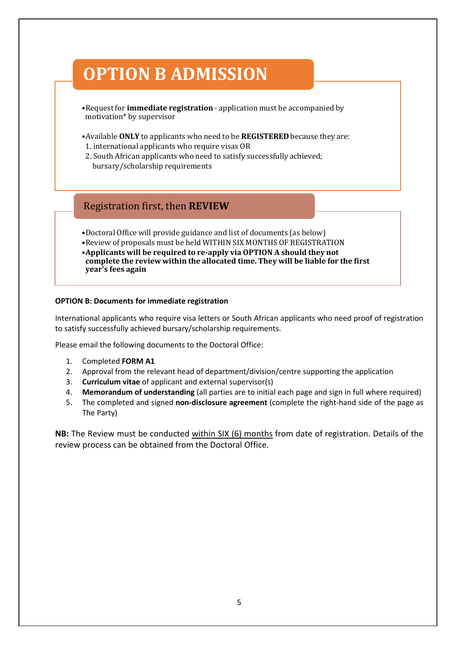# •Request for **immediate registration** - application must be accompanied by motivation\* by supervisor •Available **ONLY** to applicants who need to be **REGISTERED** because they are: 1. international applicants who require visas OR 2. South African applicants who need to satisfy successfully achieved; bursary/scholarship requirements **OPTION B ADMISSION** Registration first, then **REVIEW**

- •Doctoral Office will provide guidance and list of documents (as below)
- •Review of proposals must be held WITHIN SIX MONTHS OF REGISTRATION
- •**Applicants will be required to re-apply via OPTION A should they not complete the review within the allocated time. They will be liable for the first year's fees again**

#### **OPTION B: Documents for immediate registration**

International applicants who require visa letters or South African applicants who need proof of registration to satisfy successfully achieved bursary/scholarship requirements.

Please email the following documents to the Doctoral Office:

- 1. Completed **FORM A1**
- 2. Approval from the relevant head of department/division/centre supporting the application
- 3. **Curriculum vitae** of applicant and external supervisor(s)
- 4. **Memorandum of understanding** (all parties are to initial each page and sign in full where required)
- 5. The completed and signed **non-disclosure agreement** (complete the right-hand side of the page as The Party)

**NB:** The Review must be conducted within SIX (6) months from date of registration. Details of the review process can be obtained from the Doctoral Office.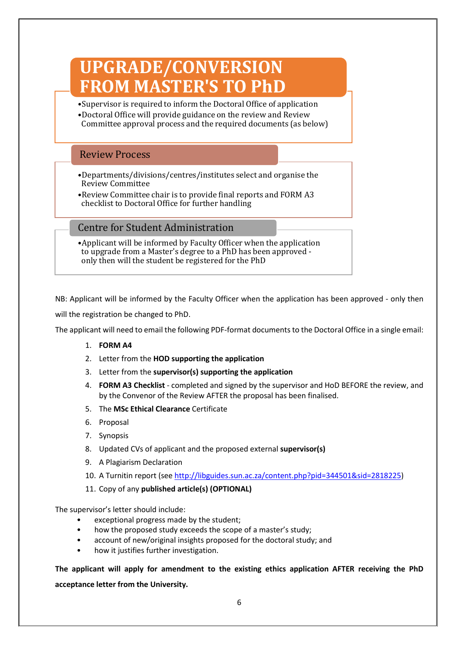# **UPGRADE/CONVERSION FROM MASTER'S TO PhD**

- •Supervisor is required to inform the Doctoral Office of application
- •Doctoral Office will provide guidance on the review and Review Committee approval process and the required documents (as below)

### Review Process

- •Departments/divisions/centres/institutes select and organise the Review Committee
- •Review Committee chair is to provide final reports and FORM A3 checklist to Doctoral Office for further handling

### Centre for Student Administration

•Applicant will be informed by Faculty Officer when the application to upgrade from a Master's degree to a PhD has been approved only then will the student be registered for the PhD

NB: Applicant will be informed by the Faculty Officer when the application has been approved - only then

will the registration be changed to PhD.

The applicant will need to email the following PDF-format documents to the Doctoral Office in a single email:

- 1. **FORM A4**
- 2. Letter from the **HOD supporting the application**
- 3. Letter from the **supervisor(s) supporting the application**
- 4. **FORM A3 Checklist** completed and signed by the supervisor and HoD BEFORE the review, and by the Convenor of the Review AFTER the proposal has been finalised.
- 5. The **MSc Ethical Clearance** Certificate
- 6. Proposal
- 7. Synopsis
- 8. Updated CVs of applicant and the proposed external **supervisor(s)**
- 9. A Plagiarism Declaration
- 10. A Turnitin report (see [http://libguides.sun.ac.za/content.php?pid=344501&sid=2818225\)](http://libguides.sun.ac.za/content.php?pid=344501&sid=2818225)
- 11. Copy of any **published article(s) (OPTIONAL)**

The supervisor's letter should include:

- exceptional progress made by the student;
- how the proposed study exceeds the scope of a master's study;
- account of new/original insights proposed for the doctoral study; and
- how it justifies further investigation.

**The applicant will apply for amendment to the existing ethics application AFTER receiving the PhD acceptance letter from the University.**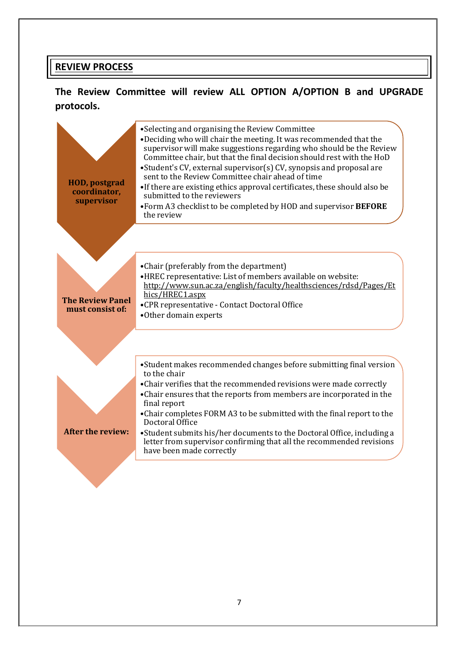### **REVIEW PROCESS**

### **The Review Committee will review ALL OPTION A/OPTION B and UPGRADE protocols.**

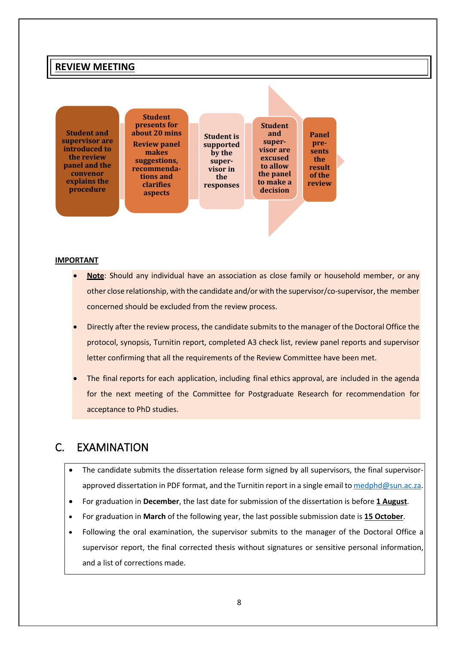### **REVIEW MEETING**

**Student and supervisor are introduced to the review panel and the convenor explains the procedure**

**presents for about 20 mins Review panel makes suggestions, recommendations and clarifies aspects**

**Student** 

**Student is supported by the supervisor in the responses**

**Panel presents the result of the review**

**Student and supervisor are excused to allow the panel to make a decision**

#### **IMPORTANT**

- **Note**: Should any individual have an association as close family or household member, or any other close relationship, with the candidate and/or with the supervisor/co-supervisor,the member concerned should be excluded from the review process.
- Directly after the review process, the candidate submits to the manager of the Doctoral Office the protocol, synopsis, Turnitin report, completed A3 check list, review panel reports and supervisor letter confirming that all the requirements of the Review Committee have been met.
- The final reports for each application, including final ethics approval, are included in the agenda for the next meeting of the Committee for Postgraduate Research for recommendation for acceptance to PhD studies.

### <span id="page-9-0"></span>C. EXAMINATION

- The candidate submits the dissertation release form signed by all supervisors, the final supervisorapproved dissertation in PDF format, and the Turnitin report in a single email to [medphd@sun.ac.za.](mailto:medphd@sun.ac.za)
- For graduation in **December**, the last date for submission of the dissertation is before **1 August**.
- For graduation in **March** of the following year, the last possible submission date is **15 October**.
- Following the oral examination, the supervisor submits to the manager of the Doctoral Office a supervisor report, the final corrected thesis without signatures or sensitive personal information, and a list of corrections made.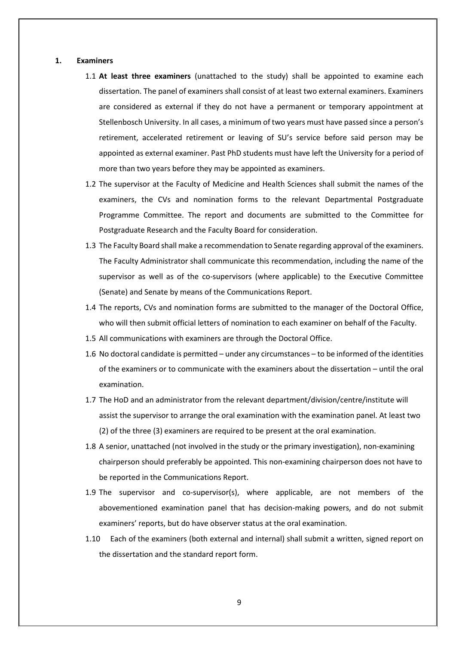#### **1. Examiners**

- 1.1 **At least three examiners** (unattached to the study) shall be appointed to examine each dissertation. The panel of examiners shall consist of at least two external examiners. Examiners are considered as external if they do not have a permanent or temporary appointment at Stellenbosch University. In all cases, a minimum of two years must have passed since a person's retirement, accelerated retirement or leaving of SU's service before said person may be appointed as external examiner. Past PhD students must have left the University for a period of more than two years before they may be appointed as examiners.
- 1.2 The supervisor at the Faculty of Medicine and Health Sciences shall submit the names of the examiners, the CVs and nomination forms to the relevant Departmental Postgraduate Programme Committee. The report and documents are submitted to the Committee for Postgraduate Research and the Faculty Board for consideration.
- 1.3 The Faculty Board shall make a recommendation to Senate regarding approval of the examiners. The Faculty Administrator shall communicate this recommendation, including the name of the supervisor as well as of the co-supervisors (where applicable) to the Executive Committee (Senate) and Senate by means of the Communications Report.
- 1.4 The reports, CVs and nomination forms are submitted to the manager of the Doctoral Office, who will then submit official letters of nomination to each examiner on behalf of the Faculty.
- 1.5 All communications with examiners are through the Doctoral Office.
- 1.6 No doctoral candidate is permitted under any circumstances to be informed of the identities of the examiners or to communicate with the examiners about the dissertation – until the oral examination.
- 1.7 The HoD and an administrator from the relevant department/division/centre/institute will assist the supervisor to arrange the oral examination with the examination panel. At least two (2) of the three (3) examiners are required to be present at the oral examination.
- 1.8 A senior, unattached (not involved in the study or the primary investigation), non-examining chairperson should preferably be appointed. This non-examining chairperson does not have to be reported in the Communications Report.
- 1.9 The supervisor and co-supervisor(s), where applicable, are not members of the abovementioned examination panel that has decision-making powers, and do not submit examiners' reports, but do have observer status at the oral examination.
- 1.10 Each of the examiners (both external and internal) shall submit a written, signed report on the dissertation and the standard report form.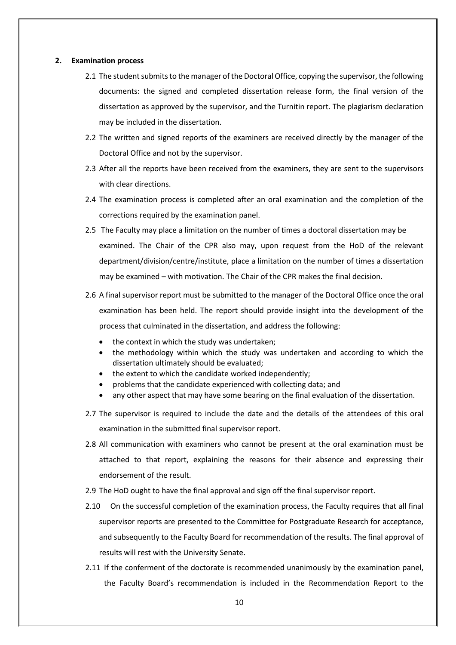#### **2. Examination process**

- 2.1 The student submits to the manager of the Doctoral Office, copying the supervisor, the following documents: the signed and completed dissertation release form, the final version of the dissertation as approved by the supervisor, and the Turnitin report. The plagiarism declaration may be included in the dissertation.
- 2.2 The written and signed reports of the examiners are received directly by the manager of the Doctoral Office and not by the supervisor.
- 2.3 After all the reports have been received from the examiners, they are sent to the supervisors with clear directions.
- 2.4 The examination process is completed after an oral examination and the completion of the corrections required by the examination panel.
- 2.5 The Faculty may place a limitation on the number of times a doctoral dissertation may be examined. The Chair of the CPR also may, upon request from the HoD of the relevant department/division/centre/institute, place a limitation on the number of times a dissertation may be examined – with motivation. The Chair of the CPR makes the final decision.
- 2.6 A final supervisor report must be submitted to the manager of the Doctoral Office once the oral examination has been held. The report should provide insight into the development of the process that culminated in the dissertation, and address the following:
	- the context in which the study was undertaken;
	- the methodology within which the study was undertaken and according to which the dissertation ultimately should be evaluated;
	- the extent to which the candidate worked independently;
	- problems that the candidate experienced with collecting data; and
	- any other aspect that may have some bearing on the final evaluation of the dissertation.
- 2.7 The supervisor is required to include the date and the details of the attendees of this oral examination in the submitted final supervisor report.
- 2.8 All communication with examiners who cannot be present at the oral examination must be attached to that report, explaining the reasons for their absence and expressing their endorsement of the result.
- 2.9 The HoD ought to have the final approval and sign off the final supervisor report.
- 2.10 On the successful completion of the examination process, the Faculty requires that all final supervisor reports are presented to the Committee for Postgraduate Research for acceptance, and subsequently to the Faculty Board for recommendation of the results. The final approval of results will rest with the University Senate.
- 2.11 If the conferment of the doctorate is recommended unanimously by the examination panel. the Faculty Board's recommendation is included in the Recommendation Report to the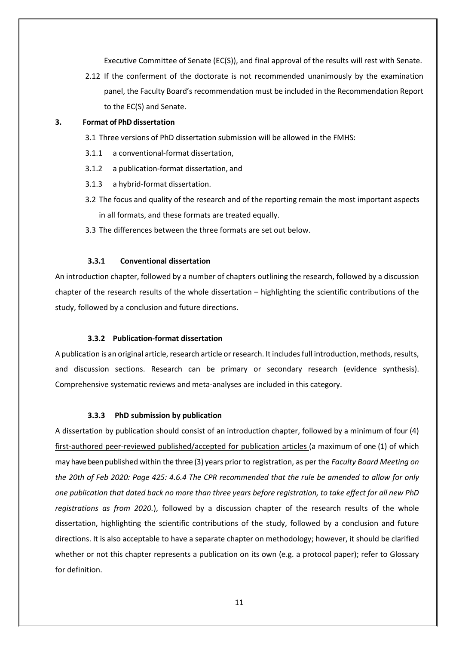Executive Committee of Senate (EC(S)), and final approval of the results will rest with Senate.

2.12 If the conferment of the doctorate is not recommended unanimously by the examination panel, the Faculty Board's recommendation must be included in the Recommendation Report to the EC(S) and Senate.

#### **3. Format of PhD dissertation**

- 3.1 Three versions of PhD dissertation submission will be allowed in the FMHS:
- 3.1.1 a conventional-format dissertation,
- 3.1.2 a publication-format dissertation, and
- 3.1.3 a hybrid-format dissertation.
- 3.2 The focus and quality of the research and of the reporting remain the most important aspects in all formats, and these formats are treated equally.
- 3.3 The differences between the three formats are set out below.

#### **3.3.1 Conventional dissertation**

An introduction chapter, followed by a number of chapters outlining the research, followed by a discussion chapter of the research results of the whole dissertation – highlighting the scientific contributions of the study, followed by a conclusion and future directions.

#### **3.3.2 Publication-format dissertation**

A publication is an original article, research article or research. It includes full introduction, methods, results, and discussion sections. Research can be primary or secondary research (evidence synthesis). Comprehensive systematic reviews and meta-analyses are included in this category.

#### **3.3.3 PhD submission by publication**

A dissertation by publication should consist of an introduction chapter, followed by a minimum of four (4) first-authored peer-reviewed published/accepted for publication articles (a maximum of one (1) of which may have been published within the three (3) years prior to registration, as per the *Faculty Board Meeting on the 20th of Feb 2020: Page 425: 4.6.4 The CPR recommended that the rule be amended to allow for only one publication that dated back no more than three years before registration, to take effect for all new PhD registrations as from 2020.*), followed by a discussion chapter of the research results of the whole dissertation, highlighting the scientific contributions of the study, followed by a conclusion and future directions. It is also acceptable to have a separate chapter on methodology; however, it should be clarified whether or not this chapter represents a publication on its own (e.g. a protocol paper); refer to Glossary for definition.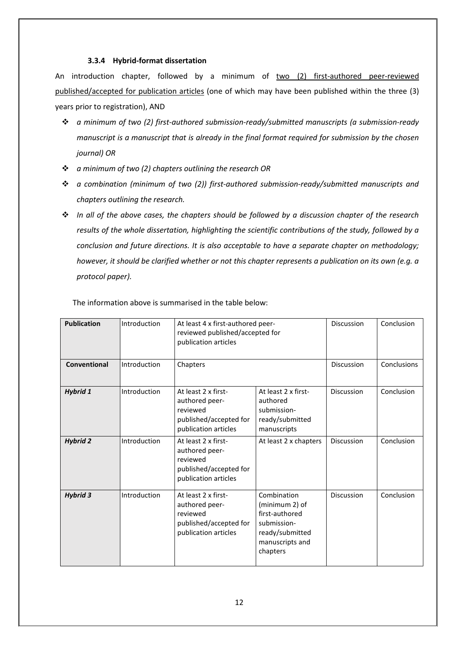#### **3.3.4 Hybrid-format dissertation**

An introduction chapter, followed by a minimum of two (2) first-authored peer-reviewed published/accepted for publication articles (one of which may have been published within the three (3) years prior to registration), AND

- *a minimum of two (2) first-authored submission-ready/submitted manuscripts (a submission-ready manuscript is a manuscript that is already in the final format required for submission by the chosen journal) OR*
- *a minimum of two (2) chapters outlining the research OR*
- *a combination (minimum of two (2)) first-authored submission-ready/submitted manuscripts and chapters outlining the research.*
- *In all of the above cases, the chapters should be followed by a discussion chapter of the research results of the whole dissertation, highlighting the scientific contributions of the study, followed by a conclusion and future directions. It is also acceptable to have a separate chapter on methodology; however, it should be clarified whether or not this chapter represents a publication on its own (e.g. a protocol paper).*

| <b>Publication</b> | Introduction | At least 4 x first-authored peer-<br>reviewed published/accepted for<br>publication articles        |                                                                                                                  | <b>Discussion</b> | Conclusion  |
|--------------------|--------------|-----------------------------------------------------------------------------------------------------|------------------------------------------------------------------------------------------------------------------|-------------------|-------------|
| Conventional       | Introduction | Chapters                                                                                            |                                                                                                                  | Discussion        | Conclusions |
| Hybrid 1           | Introduction | At least 2 x first-<br>authored peer-<br>reviewed<br>published/accepted for<br>publication articles | At least 2 x first-<br>authored<br>submission-<br>ready/submitted<br>manuscripts                                 | Discussion        | Conclusion  |
| <b>Hybrid 2</b>    | Introduction | At least 2 x first-<br>authored peer-<br>reviewed<br>published/accepted for<br>publication articles | At least 2 x chapters                                                                                            | Discussion        | Conclusion  |
| <b>Hybrid 3</b>    | Introduction | At least 2 x first-<br>authored peer-<br>reviewed<br>published/accepted for<br>publication articles | Combination<br>(minimum 2) of<br>first-authored<br>submission-<br>ready/submitted<br>manuscripts and<br>chapters | <b>Discussion</b> | Conclusion  |

The information above is summarised in the table below: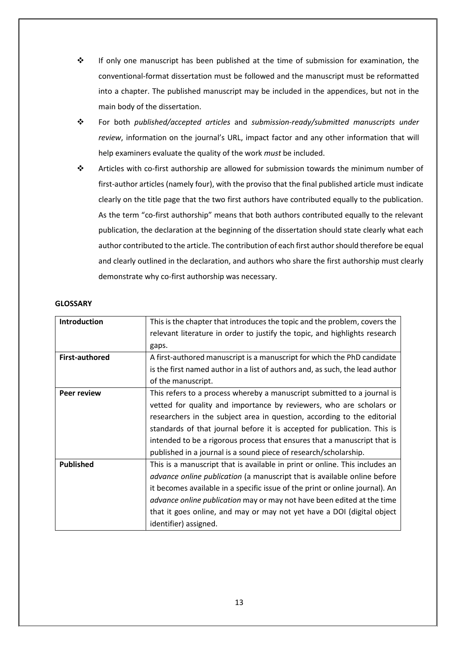- $\div$  If only one manuscript has been published at the time of submission for examination, the conventional-format dissertation must be followed and the manuscript must be reformatted into a chapter. The published manuscript may be included in the appendices, but not in the main body of the dissertation.
- For both *published/accepted articles* and *submission-ready/submitted manuscripts under review*, information on the journal's URL, impact factor and any other information that will help examiners evaluate the quality of the work *must* be included.
- Articles with co-first authorship are allowed for submission towards the minimum number of first-author articles (namely four), with the proviso that the final published article must indicate clearly on the title page that the two first authors have contributed equally to the publication. As the term "co-first authorship" means that both authors contributed equally to the relevant publication, the declaration at the beginning of the dissertation should state clearly what each author contributed to the article. The contribution of each first author should therefore be equal and clearly outlined in the declaration, and authors who share the first authorship must clearly demonstrate why co-first authorship was necessary.

#### **GLOSSARY**

| <b>Introduction</b>   | This is the chapter that introduces the topic and the problem, covers the       |
|-----------------------|---------------------------------------------------------------------------------|
|                       | relevant literature in order to justify the topic, and highlights research      |
|                       | gaps.                                                                           |
| <b>First-authored</b> | A first-authored manuscript is a manuscript for which the PhD candidate         |
|                       | is the first named author in a list of authors and, as such, the lead author    |
|                       | of the manuscript.                                                              |
| <b>Peer review</b>    | This refers to a process whereby a manuscript submitted to a journal is         |
|                       | vetted for quality and importance by reviewers, who are scholars or             |
|                       | researchers in the subject area in question, according to the editorial         |
|                       | standards of that journal before it is accepted for publication. This is        |
|                       | intended to be a rigorous process that ensures that a manuscript that is        |
|                       | published in a journal is a sound piece of research/scholarship.                |
| <b>Published</b>      | This is a manuscript that is available in print or online. This includes an     |
|                       | <i>advance online publication</i> (a manuscript that is available online before |
|                       | it becomes available in a specific issue of the print or online journal). An    |
|                       | advance online publication may or may not have been edited at the time          |
|                       | that it goes online, and may or may not yet have a DOI (digital object          |
|                       | identifier) assigned.                                                           |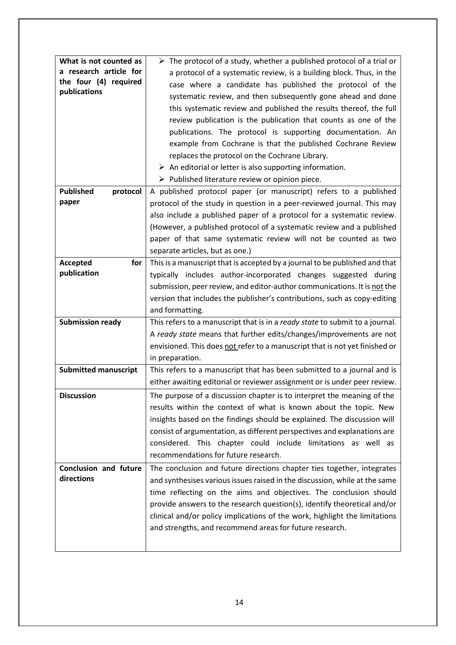| What is not counted as<br>a research article for<br>the four (4) required<br>publications | $\triangleright$ The protocol of a study, whether a published protocol of a trial or<br>a protocol of a systematic review, is a building block. Thus, in the<br>case where a candidate has published the protocol of the<br>systematic review, and then subsequently gone ahead and done<br>this systematic review and published the results thereof, the full<br>review publication is the publication that counts as one of the<br>publications. The protocol is supporting documentation. An<br>example from Cochrane is that the published Cochrane Review<br>replaces the protocol on the Cochrane Library.<br>$\triangleright$ An editorial or letter is also supporting information.<br>$\triangleright$ Published literature review or opinion piece. |
|-------------------------------------------------------------------------------------------|---------------------------------------------------------------------------------------------------------------------------------------------------------------------------------------------------------------------------------------------------------------------------------------------------------------------------------------------------------------------------------------------------------------------------------------------------------------------------------------------------------------------------------------------------------------------------------------------------------------------------------------------------------------------------------------------------------------------------------------------------------------|
| <b>Published</b><br>protocol                                                              | A published protocol paper (or manuscript) refers to a published                                                                                                                                                                                                                                                                                                                                                                                                                                                                                                                                                                                                                                                                                              |
| paper                                                                                     | protocol of the study in question in a peer-reviewed journal. This may                                                                                                                                                                                                                                                                                                                                                                                                                                                                                                                                                                                                                                                                                        |
|                                                                                           | also include a published paper of a protocol for a systematic review.                                                                                                                                                                                                                                                                                                                                                                                                                                                                                                                                                                                                                                                                                         |
|                                                                                           | (However, a published protocol of a systematic review and a published                                                                                                                                                                                                                                                                                                                                                                                                                                                                                                                                                                                                                                                                                         |
|                                                                                           | paper of that same systematic review will not be counted as two                                                                                                                                                                                                                                                                                                                                                                                                                                                                                                                                                                                                                                                                                               |
|                                                                                           | separate articles, but as one.)                                                                                                                                                                                                                                                                                                                                                                                                                                                                                                                                                                                                                                                                                                                               |
| <b>Accepted</b><br>for                                                                    | This is a manuscript that is accepted by a journal to be published and that                                                                                                                                                                                                                                                                                                                                                                                                                                                                                                                                                                                                                                                                                   |
| publication                                                                               | typically includes author-incorporated changes suggested during                                                                                                                                                                                                                                                                                                                                                                                                                                                                                                                                                                                                                                                                                               |
|                                                                                           | submission, peer review, and editor-author communications. It is not the                                                                                                                                                                                                                                                                                                                                                                                                                                                                                                                                                                                                                                                                                      |
|                                                                                           | version that includes the publisher's contributions, such as copy-editing                                                                                                                                                                                                                                                                                                                                                                                                                                                                                                                                                                                                                                                                                     |
|                                                                                           | and formatting.                                                                                                                                                                                                                                                                                                                                                                                                                                                                                                                                                                                                                                                                                                                                               |
| <b>Submission ready</b>                                                                   | This refers to a manuscript that is in a ready state to submit to a journal.                                                                                                                                                                                                                                                                                                                                                                                                                                                                                                                                                                                                                                                                                  |
|                                                                                           | A ready state means that further edits/changes/improvements are not                                                                                                                                                                                                                                                                                                                                                                                                                                                                                                                                                                                                                                                                                           |
|                                                                                           | envisioned. This does not refer to a manuscript that is not yet finished or                                                                                                                                                                                                                                                                                                                                                                                                                                                                                                                                                                                                                                                                                   |
|                                                                                           | in preparation.                                                                                                                                                                                                                                                                                                                                                                                                                                                                                                                                                                                                                                                                                                                                               |
| <b>Submitted manuscript</b>                                                               | This refers to a manuscript that has been submitted to a journal and is                                                                                                                                                                                                                                                                                                                                                                                                                                                                                                                                                                                                                                                                                       |
|                                                                                           | either awaiting editorial or reviewer assignment or is under peer review.                                                                                                                                                                                                                                                                                                                                                                                                                                                                                                                                                                                                                                                                                     |
| <b>Discussion</b>                                                                         | The purpose of a discussion chapter is to interpret the meaning of the                                                                                                                                                                                                                                                                                                                                                                                                                                                                                                                                                                                                                                                                                        |
|                                                                                           | results within the context of what is known about the topic. New                                                                                                                                                                                                                                                                                                                                                                                                                                                                                                                                                                                                                                                                                              |
|                                                                                           | insights based on the findings should be explained. The discussion will                                                                                                                                                                                                                                                                                                                                                                                                                                                                                                                                                                                                                                                                                       |
|                                                                                           | consist of argumentation, as different perspectives and explanations are                                                                                                                                                                                                                                                                                                                                                                                                                                                                                                                                                                                                                                                                                      |
|                                                                                           | considered. This chapter could include limitations as well as                                                                                                                                                                                                                                                                                                                                                                                                                                                                                                                                                                                                                                                                                                 |
|                                                                                           | recommendations for future research.                                                                                                                                                                                                                                                                                                                                                                                                                                                                                                                                                                                                                                                                                                                          |
| <b>Conclusion and future</b>                                                              | The conclusion and future directions chapter ties together, integrates                                                                                                                                                                                                                                                                                                                                                                                                                                                                                                                                                                                                                                                                                        |
| directions                                                                                | and synthesises various issues raised in the discussion, while at the same                                                                                                                                                                                                                                                                                                                                                                                                                                                                                                                                                                                                                                                                                    |
|                                                                                           | time reflecting on the aims and objectives. The conclusion should                                                                                                                                                                                                                                                                                                                                                                                                                                                                                                                                                                                                                                                                                             |
|                                                                                           | provide answers to the research question(s), identify theoretical and/or                                                                                                                                                                                                                                                                                                                                                                                                                                                                                                                                                                                                                                                                                      |
|                                                                                           | clinical and/or policy implications of the work, highlight the limitations                                                                                                                                                                                                                                                                                                                                                                                                                                                                                                                                                                                                                                                                                    |
|                                                                                           | and strengths, and recommend areas for future research.                                                                                                                                                                                                                                                                                                                                                                                                                                                                                                                                                                                                                                                                                                       |
|                                                                                           |                                                                                                                                                                                                                                                                                                                                                                                                                                                                                                                                                                                                                                                                                                                                                               |
|                                                                                           |                                                                                                                                                                                                                                                                                                                                                                                                                                                                                                                                                                                                                                                                                                                                                               |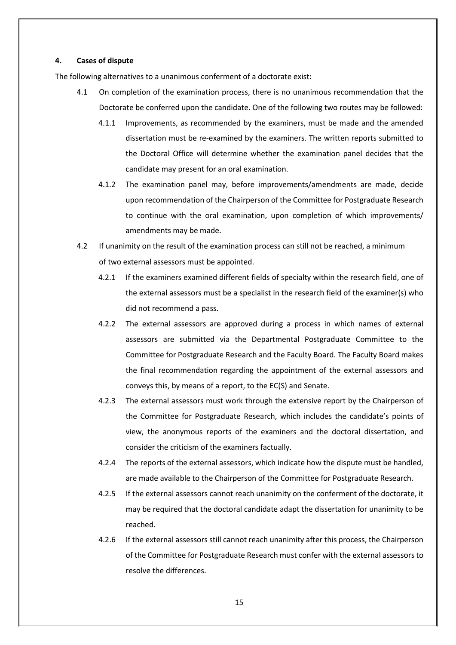#### **4. Cases of dispute**

The following alternatives to a unanimous conferment of a doctorate exist:

- 4.1 On completion of the examination process, there is no unanimous recommendation that the Doctorate be conferred upon the candidate. One of the following two routes may be followed:
	- 4.1.1 Improvements, as recommended by the examiners, must be made and the amended dissertation must be re-examined by the examiners. The written reports submitted to the Doctoral Office will determine whether the examination panel decides that the candidate may present for an oral examination.
	- 4.1.2 The examination panel may, before improvements/amendments are made, decide upon recommendation of the Chairperson of the Committee for Postgraduate Research to continue with the oral examination, upon completion of which improvements/ amendments may be made.
- 4.2 If unanimity on the result of the examination process can still not be reached, a minimum of two external assessors must be appointed.
	- 4.2.1 If the examiners examined different fields of specialty within the research field, one of the external assessors must be a specialist in the research field of the examiner(s) who did not recommend a pass.
	- 4.2.2 The external assessors are approved during a process in which names of external assessors are submitted via the Departmental Postgraduate Committee to the Committee for Postgraduate Research and the Faculty Board. The Faculty Board makes the final recommendation regarding the appointment of the external assessors and conveys this, by means of a report, to the EC(S) and Senate.
	- 4.2.3 The external assessors must work through the extensive report by the Chairperson of the Committee for Postgraduate Research, which includes the candidate's points of view, the anonymous reports of the examiners and the doctoral dissertation, and consider the criticism of the examiners factually.
	- 4.2.4 The reports of the external assessors, which indicate how the dispute must be handled, are made available to the Chairperson of the Committee for Postgraduate Research.
	- 4.2.5 If the external assessors cannot reach unanimity on the conferment of the doctorate, it may be required that the doctoral candidate adapt the dissertation for unanimity to be reached.
	- 4.2.6 If the external assessors still cannot reach unanimity after this process, the Chairperson of the Committee for Postgraduate Research must confer with the external assessors to resolve the differences.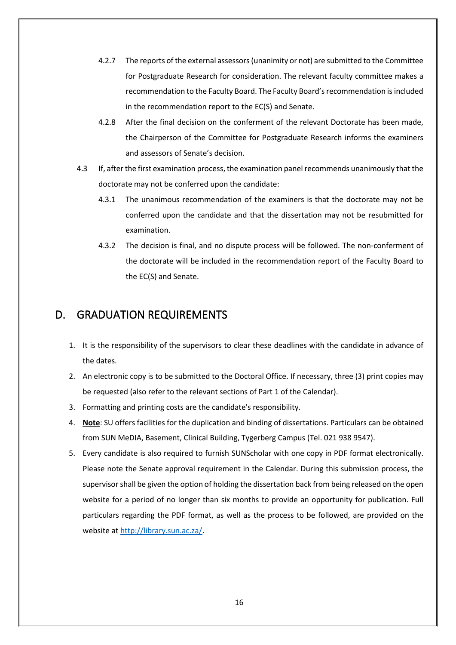- 4.2.7 The reports of the external assessors (unanimity or not) are submitted to the Committee for Postgraduate Research for consideration. The relevant faculty committee makes a recommendation to the Faculty Board. The Faculty Board's recommendation is included in the recommendation report to the EC(S) and Senate.
- 4.2.8 After the final decision on the conferment of the relevant Doctorate has been made, the Chairperson of the Committee for Postgraduate Research informs the examiners and assessors of Senate's decision.
- 4.3 If, after the first examination process, the examination panel recommends unanimously that the doctorate may not be conferred upon the candidate:
	- 4.3.1 The unanimous recommendation of the examiners is that the doctorate may not be conferred upon the candidate and that the dissertation may not be resubmitted for examination.
	- 4.3.2 The decision is final, and no dispute process will be followed. The non-conferment of the doctorate will be included in the recommendation report of the Faculty Board to the EC(S) and Senate.

### <span id="page-17-0"></span>D. GRADUATION REQUIREMENTS

- 1. It is the responsibility of the supervisors to clear these deadlines with the candidate in advance of the dates.
- 2. An electronic copy is to be submitted to the Doctoral Office. If necessary, three (3) print copies may be requested (also refer to the relevant sections of Part 1 of the Calendar).
- 3. Formatting and printing costs are the candidate's responsibility.
- 4. **Note**: SU offers facilities for the duplication and binding of dissertations. Particulars can be obtained from SUN MeDIA, Basement, Clinical Building, Tygerberg Campus (Tel. 021 938 9547).
- 5. Every candidate is also required to furnish SUNScholar with one copy in PDF format electronically. Please note the Senate approval requirement in the Calendar. During this submission process, the supervisor shall be given the option of holding the dissertation back from being released on the open website for a period of no longer than six months to provide an opportunity for publication. Full particulars regarding the PDF format, as well as the process to be followed, are provided on the website at [http://library.sun.ac.za/.](http://library.sun.ac.za/)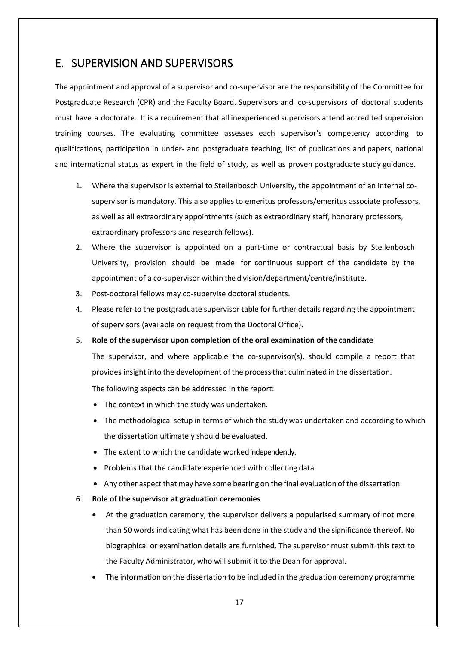### <span id="page-18-0"></span>E. SUPERVISION AND SUPERVISORS

The appointment and approval of a supervisor and co-supervisor are the responsibility of the Committee for Postgraduate Research (CPR) and the Faculty Board. Supervisors and co-supervisors of doctoral students must have a doctorate. It is a requirement that all inexperienced supervisors attend accredited supervision training courses. The evaluating committee assesses each supervisor's competency according to qualifications, participation in under- and postgraduate teaching, list of publications and papers, national and international status as expert in the field of study, as well as proven postgraduate study guidance.

- 1. Where the supervisor is external to Stellenbosch University, the appointment of an internal cosupervisor is mandatory. This also applies to emeritus professors/emeritus associate professors, as well as all extraordinary appointments (such as extraordinary staff, honorary professors, extraordinary professors and research fellows).
- 2. Where the supervisor is appointed on a part-time or contractual basis by Stellenbosch University, provision should be made for continuous support of the candidate by the appointment of a co-supervisor within the division/department/centre/institute.
- 3. Post-doctoral fellows may co-supervise doctoral students.
- 4. Please refer to the postgraduate supervisor table for further details regarding the appointment of supervisors (available on request from the DoctoralOffice).
- 5. **Role of the supervisor upon completion of the oral examination of the candidate**

The supervisor, and where applicable the co-supervisor(s), should compile a report that provides insight into the development of the processthat culminated in the dissertation.

The following aspects can be addressed in the report:

- The context in which the study was undertaken.
- The methodological setup in terms of which the study was undertaken and according to which the dissertation ultimately should be evaluated.
- The extent to which the candidate worked independently.
- Problems that the candidate experienced with collecting data.
- Any other aspect that may have some bearing on the final evaluation of the dissertation.

#### 6. **Role of the supervisor at graduation ceremonies**

- At the graduation ceremony, the supervisor delivers a popularised summary of not more than 50 words indicating what has been done in the study and the significance thereof. No biographical or examination details are furnished. The supervisor must submit this text to the Faculty Administrator, who will submit it to the Dean for approval.
- The information on the dissertation to be included in the graduation ceremony programme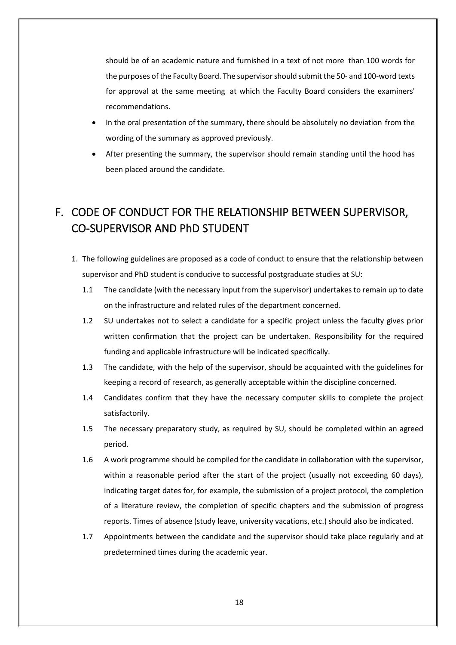should be of an academic nature and furnished in a text of not more than 100 words for the purposes of the Faculty Board. The supervisor should submit the 50- and 100-word texts for approval at the same meeting at which the Faculty Board considers the examiners' recommendations.

- In the oral presentation of the summary, there should be absolutely no deviation from the wording of the summary as approved previously.
- After presenting the summary, the supervisor should remain standing until the hood has been placed around the candidate.

## <span id="page-19-0"></span>F. CODE OF CONDUCT FOR THE RELATIONSHIP BETWEEN SUPERVISOR, CO-SUPERVISOR AND PhD STUDENT

- 1. The following guidelines are proposed as a code of conduct to ensure that the relationship between supervisor and PhD student is conducive to successful postgraduate studies at SU:
	- 1.1 The candidate (with the necessary input from the supervisor) undertakes to remain up to date on the infrastructure and related rules of the department concerned.
	- 1.2 SU undertakes not to select a candidate for a specific project unless the faculty gives prior written confirmation that the project can be undertaken. Responsibility for the required funding and applicable infrastructure will be indicated specifically.
	- 1.3 The candidate, with the help of the supervisor, should be acquainted with the guidelines for keeping a record of research, as generally acceptable within the discipline concerned.
	- 1.4 Candidates confirm that they have the necessary computer skills to complete the project satisfactorily.
	- 1.5 The necessary preparatory study, as required by SU, should be completed within an agreed period.
	- 1.6 A work programme should be compiled for the candidate in collaboration with the supervisor, within a reasonable period after the start of the project (usually not exceeding 60 days), indicating target dates for, for example, the submission of a project protocol, the completion of a literature review, the completion of specific chapters and the submission of progress reports. Times of absence (study leave, university vacations, etc.) should also be indicated.
	- 1.7 Appointments between the candidate and the supervisor should take place regularly and at predetermined times during the academic year.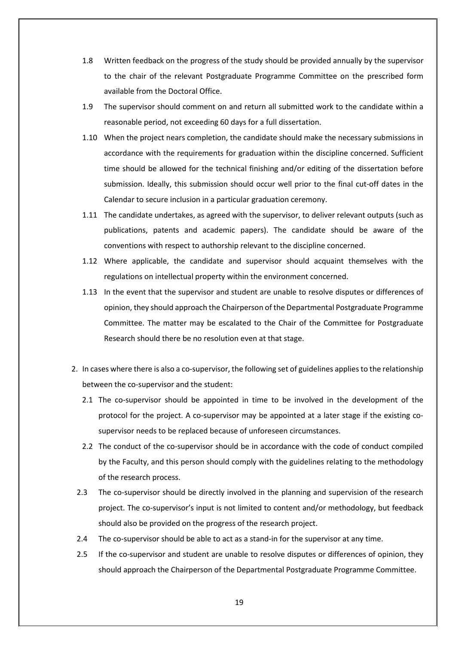- 1.8 Written feedback on the progress of the study should be provided annually by the supervisor to the chair of the relevant Postgraduate Programme Committee on the prescribed form available from the Doctoral Office.
- 1.9 The supervisor should comment on and return all submitted work to the candidate within a reasonable period, not exceeding 60 days for a full dissertation.
- 1.10 When the project nears completion, the candidate should make the necessary submissions in accordance with the requirements for graduation within the discipline concerned. Sufficient time should be allowed for the technical finishing and/or editing of the dissertation before submission. Ideally, this submission should occur well prior to the final cut-off dates in the Calendar to secure inclusion in a particular graduation ceremony.
- 1.11 The candidate undertakes, as agreed with the supervisor, to deliver relevant outputs (such as publications, patents and academic papers). The candidate should be aware of the conventions with respect to authorship relevant to the discipline concerned.
- 1.12 Where applicable, the candidate and supervisor should acquaint themselves with the regulations on intellectual property within the environment concerned.
- 1.13 In the event that the supervisor and student are unable to resolve disputes or differences of opinion, they should approach the Chairperson of the Departmental Postgraduate Programme Committee. The matter may be escalated to the Chair of the Committee for Postgraduate Research should there be no resolution even at that stage.
- 2. In cases where there is also a co-supervisor, the following set of guidelines applies to the relationship between the co-supervisor and the student:
	- 2.1 The co-supervisor should be appointed in time to be involved in the development of the protocol for the project. A co-supervisor may be appointed at a later stage if the existing cosupervisor needs to be replaced because of unforeseen circumstances.
	- 2.2 The conduct of the co-supervisor should be in accordance with the code of conduct compiled by the Faculty, and this person should comply with the guidelines relating to the methodology of the research process.
	- 2.3 The co-supervisor should be directly involved in the planning and supervision of the research project. The co-supervisor's input is not limited to content and/or methodology, but feedback should also be provided on the progress of the research project.
	- 2.4 The co-supervisor should be able to act as a stand-in for the supervisor at any time.
	- 2.5 If the co-supervisor and student are unable to resolve disputes or differences of opinion, they should approach the Chairperson of the Departmental Postgraduate Programme Committee.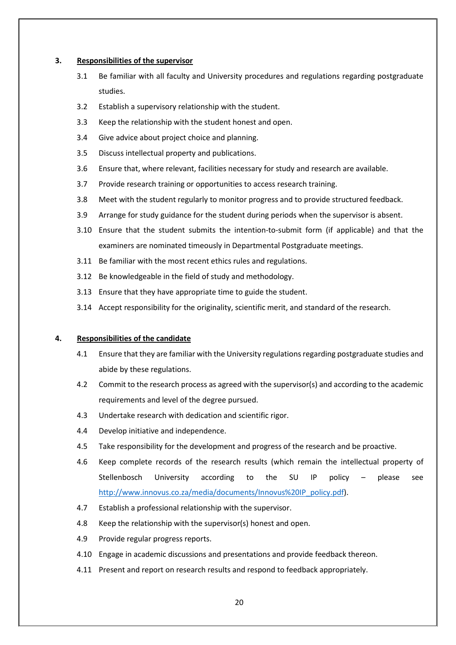#### **3. Responsibilities of the supervisor**

- 3.1 Be familiar with all faculty and University procedures and regulations regarding postgraduate studies.
- 3.2 Establish a supervisory relationship with the student.
- 3.3 Keep the relationship with the student honest and open.
- 3.4 Give advice about project choice and planning.
- 3.5 Discuss intellectual property and publications.
- 3.6 Ensure that, where relevant, facilities necessary for study and research are available.
- 3.7 Provide research training or opportunities to access research training.
- 3.8 Meet with the student regularly to monitor progress and to provide structured feedback.
- 3.9 Arrange for study guidance for the student during periods when the supervisor is absent.
- 3.10 Ensure that the student submits the intention-to-submit form (if applicable) and that the examiners are nominated timeously in Departmental Postgraduate meetings.
- 3.11 Be familiar with the most recent ethics rules and regulations.
- 3.12 Be knowledgeable in the field of study and methodology.
- 3.13 Ensure that they have appropriate time to guide the student.
- 3.14 Accept responsibility for the originality, scientific merit, and standard of the research.

#### **4. Responsibilities of the candidate**

- 4.1 Ensure that they are familiar with the University regulations regarding postgraduate studies and abide by these regulations.
- 4.2 Commit to the research process as agreed with the supervisor(s) and according to the academic requirements and level of the degree pursued.
- 4.3 Undertake research with dedication and scientific rigor.
- 4.4 Develop initiative and independence.
- 4.5 Take responsibility for the development and progress of the research and be proactive.
- 4.6 Keep complete records of the research results (which remain the intellectual property of Stellenbosch University according to the SU IP policy – please see [http://www.innovus.co.za/media/documents/Innovus%20IP\\_policy.pdf\)](http://www.innovus.co.za/media/documents/Innovus%20IP_policy.pdf).
- 4.7 Establish a professional relationship with the supervisor.
- 4.8 Keep the relationship with the supervisor(s) honest and open.
- 4.9 Provide regular progress reports.
- 4.10 Engage in academic discussions and presentations and provide feedback thereon.
- 4.11 Present and report on research results and respond to feedback appropriately.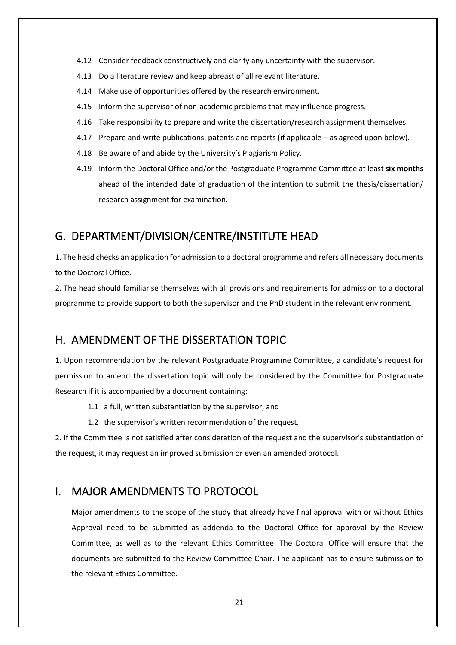- 4.12 Consider feedback constructively and clarify any uncertainty with the supervisor.
- 4.13 Do a literature review and keep abreast of all relevant literature.
- 4.14 Make use of opportunities offered by the research environment.
- 4.15 Inform the supervisor of non-academic problems that may influence progress.
- 4.16 Take responsibility to prepare and write the dissertation/research assignment themselves.
- 4.17 Prepare and write publications, patents and reports (if applicable as agreed upon below).
- 4.18 Be aware of and abide by the University's Plagiarism Policy.
- 4.19 Inform the Doctoral Office and/or the Postgraduate Programme Committee at least **six months** ahead of the intended date of graduation of the intention to submit the thesis/dissertation/ research assignment for examination.

### <span id="page-22-0"></span>G. DEPARTMENT/DIVISION/CENTRE/INSTITUTE HEAD

1. The head checks an application for admission to a doctoral programme and refers all necessary documents to the Doctoral Office.

2. The head should familiarise themselves with all provisions and requirements for admission to a doctoral programme to provide support to both the supervisor and the PhD student in the relevant environment.

### <span id="page-22-1"></span>H. AMENDMENT OF THE DISSERTATION TOPIC

1. Upon recommendation by the relevant Postgraduate Programme Committee, a candidate's request for permission to amend the dissertation topic will only be considered by the Committee for Postgraduate Research if it is accompanied by a document containing:

- 1.1 a full, written substantiation by the supervisor, and
- 1.2 the supervisor's written recommendation of the request.

2. If the Committee is not satisfied after consideration of the request and the supervisor's substantiation of the request, it may request an improved submission or even an amended protocol.

### <span id="page-22-2"></span>I. MAJOR AMENDMENTS TO PROTOCOL

Major amendments to the scope of the study that already have final approval with or without Ethics Approval need to be submitted as addenda to the Doctoral Office for approval by the Review Committee, as well as to the relevant Ethics Committee. The Doctoral Office will ensure that the documents are submitted to the Review Committee Chair. The applicant has to ensure submission to the relevant Ethics Committee.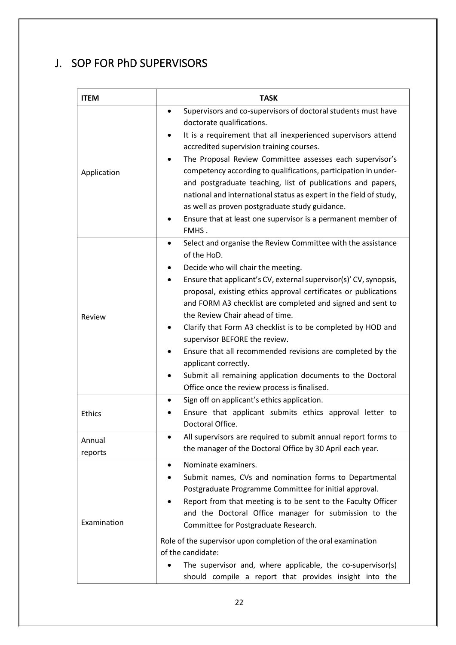# <span id="page-23-0"></span>J. SOP FOR PhD SUPERVISORS

| <b>ITEM</b>       | <b>TASK</b>                                                                                                                                                                                                                                                                                                                                                                                                                                                                                                                                                                                                                                                          |
|-------------------|----------------------------------------------------------------------------------------------------------------------------------------------------------------------------------------------------------------------------------------------------------------------------------------------------------------------------------------------------------------------------------------------------------------------------------------------------------------------------------------------------------------------------------------------------------------------------------------------------------------------------------------------------------------------|
| Application       | Supervisors and co-supervisors of doctoral students must have<br>doctorate qualifications.<br>It is a requirement that all inexperienced supervisors attend<br>accredited supervision training courses.<br>The Proposal Review Committee assesses each supervisor's<br>competency according to qualifications, participation in under-<br>and postgraduate teaching, list of publications and papers,<br>national and international status as expert in the field of study,<br>as well as proven postgraduate study guidance.<br>Ensure that at least one supervisor is a permanent member of<br>FMHS.                                                               |
| Review            | Select and organise the Review Committee with the assistance<br>٠<br>of the HoD.<br>Decide who will chair the meeting.<br>Ensure that applicant's CV, external supervisor(s)' CV, synopsis,<br>proposal, existing ethics approval certificates or publications<br>and FORM A3 checklist are completed and signed and sent to<br>the Review Chair ahead of time.<br>Clarify that Form A3 checklist is to be completed by HOD and<br>supervisor BEFORE the review.<br>Ensure that all recommended revisions are completed by the<br>applicant correctly.<br>Submit all remaining application documents to the Doctoral<br>Office once the review process is finalised. |
| <b>Ethics</b>     | Sign off on applicant's ethics application.<br>Ensure that applicant submits ethics approval letter to<br>Doctoral Office.                                                                                                                                                                                                                                                                                                                                                                                                                                                                                                                                           |
| Annual<br>reports | All supervisors are required to submit annual report forms to<br>the manager of the Doctoral Office by 30 April each year.                                                                                                                                                                                                                                                                                                                                                                                                                                                                                                                                           |
| Examination       | Nominate examiners.<br>$\bullet$<br>Submit names, CVs and nomination forms to Departmental<br>Postgraduate Programme Committee for initial approval.<br>Report from that meeting is to be sent to the Faculty Officer<br>and the Doctoral Office manager for submission to the<br>Committee for Postgraduate Research.<br>Role of the supervisor upon completion of the oral examination<br>of the candidate:<br>The supervisor and, where applicable, the co-supervisor(s)<br>should compile a report that provides insight into the                                                                                                                                |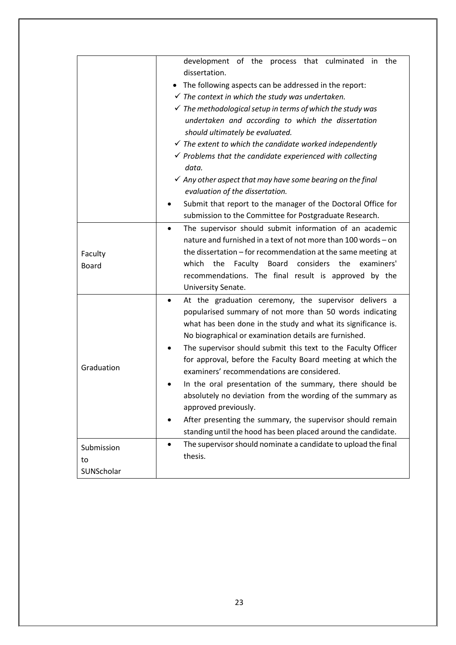|              | development of the process that culminated in the<br>dissertation.            |  |  |  |
|--------------|-------------------------------------------------------------------------------|--|--|--|
|              | The following aspects can be addressed in the report:                         |  |  |  |
|              | $\checkmark$ The context in which the study was undertaken.                   |  |  |  |
|              | $\checkmark$ The methodological setup in terms of which the study was         |  |  |  |
|              | undertaken and according to which the dissertation                            |  |  |  |
|              | should ultimately be evaluated.                                               |  |  |  |
|              | $\checkmark$ The extent to which the candidate worked independently           |  |  |  |
|              | $\checkmark$ Problems that the candidate experienced with collecting<br>data. |  |  |  |
|              |                                                                               |  |  |  |
|              | $\checkmark$ Any other aspect that may have some bearing on the final         |  |  |  |
|              | evaluation of the dissertation.                                               |  |  |  |
|              | Submit that report to the manager of the Doctoral Office for                  |  |  |  |
|              | submission to the Committee for Postgraduate Research.                        |  |  |  |
|              | The supervisor should submit information of an academic                       |  |  |  |
|              | nature and furnished in a text of not more than 100 words - on                |  |  |  |
| Faculty      | the dissertation - for recommendation at the same meeting at                  |  |  |  |
| <b>Board</b> | Faculty<br>Board<br>considers<br>the<br>examiners'<br>which<br>the            |  |  |  |
|              | recommendations. The final result is approved by the                          |  |  |  |
|              | University Senate.                                                            |  |  |  |
|              | At the graduation ceremony, the supervisor delivers a                         |  |  |  |
|              | popularised summary of not more than 50 words indicating                      |  |  |  |
|              | what has been done in the study and what its significance is.                 |  |  |  |
|              | No biographical or examination details are furnished.                         |  |  |  |
|              | The supervisor should submit this text to the Faculty Officer                 |  |  |  |
|              | for approval, before the Faculty Board meeting at which the                   |  |  |  |
| Graduation   | examiners' recommendations are considered.                                    |  |  |  |
|              | In the oral presentation of the summary, there should be                      |  |  |  |
|              | absolutely no deviation from the wording of the summary as                    |  |  |  |
|              | approved previously.                                                          |  |  |  |
|              | After presenting the summary, the supervisor should remain                    |  |  |  |
|              | standing until the hood has been placed around the candidate.                 |  |  |  |
|              | The supervisor should nominate a candidate to upload the final                |  |  |  |
| Submission   | thesis.                                                                       |  |  |  |
| to           |                                                                               |  |  |  |
| SUNScholar   |                                                                               |  |  |  |